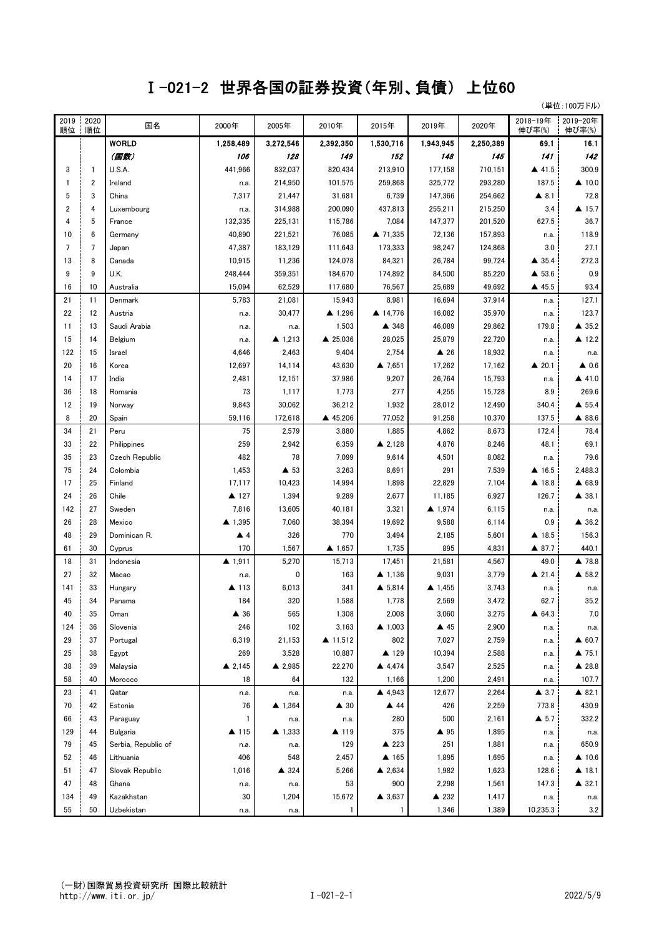## Ⅰ-021-2 世界各国の証券投資(年別、負債) 上位60

(単位:100万ドル)

| 2019<br>順位     | 2020<br>順位     | 国名                  | 2000年              | 2005年               | 2010年              | 2015年             | 2019年               | 2020年     | 2018-19年<br>伸び率(%)   | 2019-20年<br>伸び率(%) |
|----------------|----------------|---------------------|--------------------|---------------------|--------------------|-------------------|---------------------|-----------|----------------------|--------------------|
|                |                | <b>WORLD</b>        | 1,258,489          | 3,272,546           | 2,392,350          | 1.530.716         | 1,943,945           | 2,250,389 | 69.1                 | 16.1               |
|                |                | (国数)                | 106                | 128                 | 149                | 152               | 148                 | 145       | 141                  | 142                |
| 3              | $\mathbf{1}$   | U.S.A.              | 441,966            | 832,037             | 820,434            | 213,910           | 177,158             | 710,151   | ▲ 41.5               | 300.9              |
|                | 2              | Ireland             | n.a.               | 214,950             | 101,575            | 259,868           | 325,772             | 293,280   | 187.5                | $\triangle$ 10.0   |
| 5              | 3              | China               | 7,317              | 21,447              | 31,681             | 6,739             | 147,366             | 254,662   | $\triangle$ 8.1      | 72.8               |
| $\overline{2}$ | 4              | Luxembourg          | n.a.               | 314,988             | 200,090            | 437,813           | 255,211             | 215,250   | 3.4                  | $\triangle$ 15.7   |
| 4              | 5              | France              | 132,335            | 225,131             | 115,786            | 7,084             | 147,377             | 201,520   | 627.5                | 36.7               |
| 10             | 6              | Germany             | 40,890             | 221,521             | 76,085             | ▲ 71,335          | 72,136              | 157,893   | n.a.                 | 118.9              |
| $\overline{7}$ | $\overline{7}$ | Japan               | 47,387             | 183,129             | 111,643            | 173,333           | 98,247              | 124,868   | 3.0                  | 27.1               |
| 13             | 8              | Canada              | 10,915             | 11,236              | 124,078            | 84,321            | 26,784              | 99,724    | $\triangle$ 35.4     | 272.3              |
| 9              | 9              | U.K.                | 248,444            | 359,351             | 184,670            | 174,892           | 84,500              | 85,220    | ▲ 53.6               | 0.9                |
| 16             | 10             | Australia           | 15,094             | 62,529              | 117,680            | 76,567            | 25,689              | 49,692    | ▲ 45.5               | 93.4               |
| 21             | 11             | Denmark             | 5,783              | 21,081              | 15,943             | 8,981             | 16,694              | 37,914    | n.a.                 | 127.1              |
| 22             | 12             | Austria             | n.a.               | 30,477              | ▲ 1,296            | ▲ 14,776          | 16,082              | 35,970    | n.a.                 | 123.7              |
| 11             | 13             | Saudi Arabia        | n.a.               | n.a.                | 1,503              | ▲ 348             | 46,089              | 29,862    | 179.8                | $\triangle$ 35.2   |
| 15             | 14             | Belgium             | n.a.               | $\triangle$ 1,213   | ▲ 25,036           | 28,025            | 25,879              | 22,720    | n.a.                 | ▲ 12.2             |
| 122            | 15             | Israel              | 4,646              | 2,463               | 9,404              | 2,754             | $\triangle$ 26      | 18,932    | n.a.                 | n.a.               |
| 20             | 16             | Korea               | 12,697             | 14,114              | 43,630             | $\triangle$ 7,651 | 17,262              | 17,162    | $\triangle$ 20.1     | $\triangle$ 0.6    |
| 14             | 17             | India               | 2,481              | 12,151              | 37,986             | 9,207             | 26,764              | 15,793    | n.a.                 | $\triangle$ 41.0   |
| 36             | 18             | Romania             | 73                 | 1,117               | 1,773              | 277               | 4,255               | 15,728    | 8.9                  | 269.6              |
| 12             | 19             | Norway              | 9,843              | 30,062              | 36,212             | 1,932             | 28,012              | 12.490    | 340.4                | $\triangle$ 55.4   |
| 8              | 20             | Spain               | 59,116             | 172,618             | ▲ 45,206           | 77,052            | 91,258              | 10,370    | 137.5                | ▲ 88.6             |
| 34             | 21             | Peru                | 75                 | 2,579               | 3,880              | 1,885             | 4,862               | 8,673     | 172.4                | 78.4               |
| 33             | 22             | Philippines         | 259                | 2,942               | 6,359              | $\triangle$ 2,128 | 4,876               | 8,246     | 48.1                 | 69.1               |
| 35             | 23             | Czech Republic      | 482                | 78                  | 7,099              | 9,614             | 4,501               | 8,082     | n.a.                 | 79.6               |
| 75             | 24             | Colombia            | 1,453              | $\blacktriangle$ 53 | 3,263              | 8,691             | 291                 | 7,539     | ▲ 16.5               | 2,488.3            |
| 17             | 25             | Finland             | 17,117             | 10,423              | 14,994             | 1,898             | 22,829              | 7,104     | ▲ 18.8               | ▲ 68.9             |
| 24             | 26             | Chile               | ▲ 127              | 1,394               | 9,289              | 2,677             | 11,185              | 6,927     | 126.7                | ▲ 38.1             |
| 142            | 27             | Sweden              | 7,816              | 13,605              | 40,181             | 3,321             | ▲ 1,974             | 6,115     | n.a.                 | n.a.               |
| 26             | 28             | Mexico              | ▲ 1,395            | 7,060               | 38,394             | 19,692            | 9,588               | 6,114     | 0.9                  | ▲ 36.2             |
| 48             | 29             | Dominican R.        | $\blacktriangle$ 4 | 326                 | 770                | 3,494             | 2,185               | 5,601     | ▲ 18.5               | 156.3              |
| 61             | 30             | Cyprus              | 170                | 1,567               | $\triangle$ 1,657  | 1,735             | 895                 | 4,831     | ▲ 87.7               | 440.1              |
| 18             | 31             | Indonesia           | ▲ 1,911            | 5,270               | 15,713             | 17,451            | 21,581              | 4,567     | 49.0                 | ▲ 78.8             |
| 27             | 32             | Macao               | n.a.               | 0                   | 163                | $\triangle$ 1,136 | 9,031               | 3,779     | $\triangle$ 21.4     | ▲ 58.2             |
| 141            | 33             | Hungary             | ▲ 113              | 6,013               | 341                | $\triangle$ 5,814 | ▲ 1,455             | 3,743     | n.a.                 | n.a.               |
| 45             | 34             | Panama              | 184                | 320                 | 1,588              | 1,778             | 2,569               | 3,472     | 62.7                 | 35.2               |
| 40             | 35             | Oman                | ▲ 36               | 565                 | 1,308              | 2,008             | 3,060               | 3,275     | ▲ 64.3               | 7.0                |
| 124            | 36             | Slovenia            | 246                | 102                 | 3,163              | $\triangle$ 1,003 | $\blacktriangle$ 45 | 2,900     | n.a.                 | n.a.               |
| 29             | 37             | Portugal            | 6,319              | 21,153              | $\triangle$ 11,512 | 802               | 7,027               | 2,759     | n.a.                 | $\triangle$ 60.7   |
| 25             | 38             | Egypt               | 269                | 3,528               | 10,887             | ▲ 129             | 10,394              | 2,588     | n.a.                 | $\triangle$ 75.1   |
| 38             | 39             | Malaysia            | ▲ 2,145            | $\triangle$ 2,985   | 22,270             | ▲ 4,474           | 3,547               | 2,525     | n.a.                 | ▲ 28.8             |
| 58             | 40             | Morocco             | 18                 | 64                  | 132                | 1,166             | 1,200               | 2,491     | n.a.                 | 107.7              |
| 23             | 41             | Qatar               | n.a.               | n.a.                | n.a.               | 4,943             | 12,677              | 2,264     | $\blacktriangle$ 3.7 | ▲ 82.1             |
| 70             | 42             | Estonia             | 76                 | $\triangle$ 1,364   | ▲ 30               | ▲ 44              | 426                 | 2,259     | 773.8                | 430.9              |
| 66             | 43             | Paraguay            | 1                  | n.a.                | n.a.               | 280               | 500                 | 2,161     | $\blacktriangle$ 5.7 | 332.2              |
| 129            | 44             | <b>Bulgaria</b>     | ▲ 115              | $\triangle$ 1,333   | ▲ 119              | 375               | ▲ 95                | 1,895     | n.a.                 | n.a.               |
| 79             | 45             | Serbia, Republic of | n.a.               | n.a.                | 129                | ▲ 223             | 251                 | 1,881     | n.a.                 | 650.9              |
| 52             | 46             | Lithuania           | 406                | 548                 | 2,457              | ▲ 165             | 1,895               | 1,695     | n.a.                 | $\triangle$ 10.6   |
| 51             | 47             | Slovak Republic     | 1,016              | ▲ 324               | 5,266              | $\triangle$ 2,634 | 1,982               | 1,623     | 128.6                | ▲ 18.1             |
| 47             | 48             | Ghana               | n.a.               | n.a.                | 53                 | 900               | 2,298               | 1,561     | 147.3                | $\triangle$ 32.1   |
| 134            | 49             | Kazakhstan          | 30                 | 1,204               | 15,672             | ▲ 3,637           | ▲ 232               | 1,417     | n.a.                 | n.a.               |
| 55             | 50             | Uzbekistan          | n.a.               | n.a.                | $\mathbf{1}$       | 1                 | 1,346               | 1,389     | 10,235.3             | 3.2                |